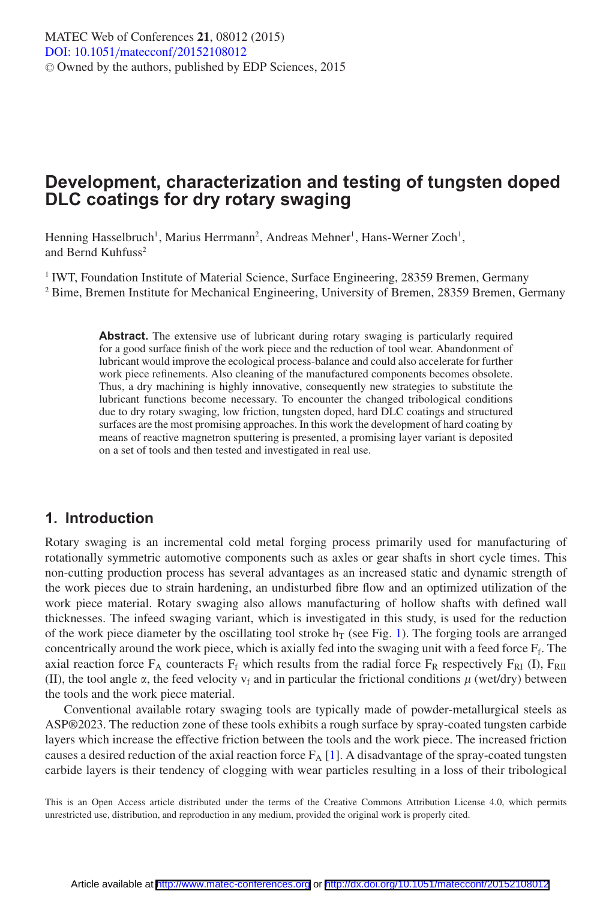# **Development, characterization and testing of tungsten doped DLC coatings for dry rotary swaging**

Henning Hasselbruch<sup>1</sup>, Marius Herrmann<sup>2</sup>, Andreas Mehner<sup>1</sup>, Hans-Werner Zoch<sup>1</sup>, and Bernd Kuhfuss<sup>2</sup>

<sup>1</sup> IWT, Foundation Institute of Material Science, Surface Engineering, 28359 Bremen, Germany  $2$  Bime, Bremen Institute for Mechanical Engineering, University of Bremen, 28359 Bremen, Germany

> **Abstract.** The extensive use of lubricant during rotary swaging is particularly required for a good surface finish of the work piece and the reduction of tool wear. Abandonment of lubricant would improve the ecological process-balance and could also accelerate for further work piece refinements. Also cleaning of the manufactured components becomes obsolete. Thus, a dry machining is highly innovative, consequently new strategies to substitute the lubricant functions become necessary. To encounter the changed tribological conditions due to dry rotary swaging, low friction, tungsten doped, hard DLC coatings and structured surfaces are the most promising approaches. In this work the development of hard coating by means of reactive magnetron sputtering is presented, a promising layer variant is deposited on a set of tools and then tested and investigated in real use.

### **1. Introduction**

Rotary swaging is an incremental cold metal forging process primarily used for manufacturing of rotationally symmetric automotive components such as axles or gear shafts in short cycle times. This non-cutting production process has several advantages as an increased static and dynamic strength of the work pieces due to strain hardening, an undisturbed fibre flow and an optimized utilization of the work piece material. Rotary swaging also allows manufacturing of hollow shafts with defined wall thicknesses. The infeed swaging variant, which is investigated in this study, is used for the reduction of the work piece diameter by the oscillating tool stroke  $h<sub>T</sub>$  (see Fig. [1\)](#page-1-0). The forging tools are arranged concentrically around the work piece, which is axially fed into the swaging unit with a feed force  $F_f$ . The axial reaction force  $F_A$  counteracts  $F_f$  which results from the radial force  $F_R$  respectively  $F_{RI}$  (I),  $F_{RI}$ (II), the tool angle  $\alpha$ , the feed velocity  $v_f$  and in particular the frictional conditions  $\mu$  (wet/dry) between the tools and the work piece material.

Conventional available rotary swaging tools are typically made of powder-metallurgical steels as ASP®2023. The reduction zone of these tools exhibits a rough surface by spray-coated tungsten carbide layers which increase the effective friction between the tools and the work piece. The increased friction causes a desired reduction of the axial reaction force  $F_A$  [\[1](#page-6-0)]. A disadvantage of the spray-coated tungsten carbide layers is their tendency of clogging with wear particles resulting in a loss of their tribological

This is an Open Access article distributed under the terms of the Creative Commons Attribution License 4.0, which permits unrestricted use, distribution, and reproduction in any medium, provided the original work is properly cited.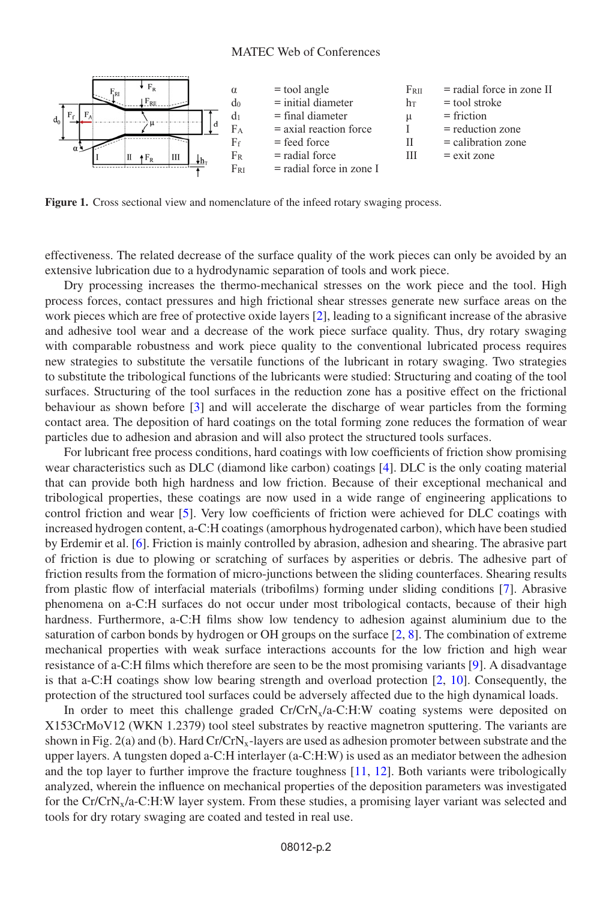#### MATEC Web of Conferences

<span id="page-1-0"></span>

Figure 1. Cross sectional view and nomenclature of the infeed rotary swaging process.

effectiveness. The related decrease of the surface quality of the work pieces can only be avoided by an extensive lubrication due to a hydrodynamic separation of tools and work piece.

Dry processing increases the thermo-mechanical stresses on the work piece and the tool. High process forces, contact pressures and high frictional shear stresses generate new surface areas on the work pieces which are free of protective oxide layers [\[2](#page-6-1)], leading to a significant increase of the abrasive and adhesive tool wear and a decrease of the work piece surface quality. Thus, dry rotary swaging with comparable robustness and work piece quality to the conventional lubricated process requires new strategies to substitute the versatile functions of the lubricant in rotary swaging. Two strategies to substitute the tribological functions of the lubricants were studied: Structuring and coating of the tool surfaces. Structuring of the tool surfaces in the reduction zone has a positive effect on the frictional behaviour as shown before [\[3\]](#page-6-2) and will accelerate the discharge of wear particles from the forming contact area. The deposition of hard coatings on the total forming zone reduces the formation of wear particles due to adhesion and abrasion and will also protect the structured tools surfaces.

For lubricant free process conditions, hard coatings with low coefficients of friction show promising wear characteristics such as DLC (diamond like carbon) coatings [\[4\]](#page-6-3). DLC is the only coating material that can provide both high hardness and low friction. Because of their exceptional mechanical and tribological properties, these coatings are now used in a wide range of engineering applications to control friction and wear [\[5\]](#page-6-4). Very low coefficients of friction were achieved for DLC coatings with increased hydrogen content, a-C:H coatings (amorphous hydrogenated carbon), which have been studied by Erdemir et al. [\[6](#page-6-5)]. Friction is mainly controlled by abrasion, adhesion and shearing. The abrasive part of friction is due to plowing or scratching of surfaces by asperities or debris. The adhesive part of friction results from the formation of micro-junctions between the sliding counterfaces. Shearing results from plastic flow of interfacial materials (tribofilms) forming under sliding conditions [\[7](#page-6-6)]. Abrasive phenomena on a-C:H surfaces do not occur under most tribological contacts, because of their high hardness. Furthermore, a-C:H films show low tendency to adhesion against aluminium due to the saturation of carbon bonds by hydrogen or OH groups on the surface [\[2,](#page-6-1) [8](#page-6-7)]. The combination of extreme mechanical properties with weak surface interactions accounts for the low friction and high wear resistance of a-C:H films which therefore are seen to be the most promising variants [\[9](#page-6-8)]. A disadvantage is that a-C:H coatings show low bearing strength and overload protection [\[2,](#page-6-1) [10\]](#page-6-9). Consequently, the protection of the structured tool surfaces could be adversely affected due to the high dynamical loads.

In order to meet this challenge graded  $Cr/CrN<sub>x</sub>/a-C:H:W$  coating systems were deposited on X153CrMoV12 (WKN 1.2379) tool steel substrates by reactive magnetron sputtering. The variants are shown in Fig. 2(a) and (b). Hard  $Cr/CrN<sub>x</sub>$ -layers are used as adhesion promoter between substrate and the upper layers. A tungsten doped a-C:H interlayer (a-C:H:W) is used as an mediator between the adhesion and the top layer to further improve the fracture toughness [\[11](#page-6-10), [12\]](#page-6-11). Both variants were tribologically analyzed, wherein the influence on mechanical properties of the deposition parameters was investigated for the Cr/CrN<sub>x</sub>/a-C:H:W layer system. From these studies, a promising layer variant was selected and tools for dry rotary swaging are coated and tested in real use.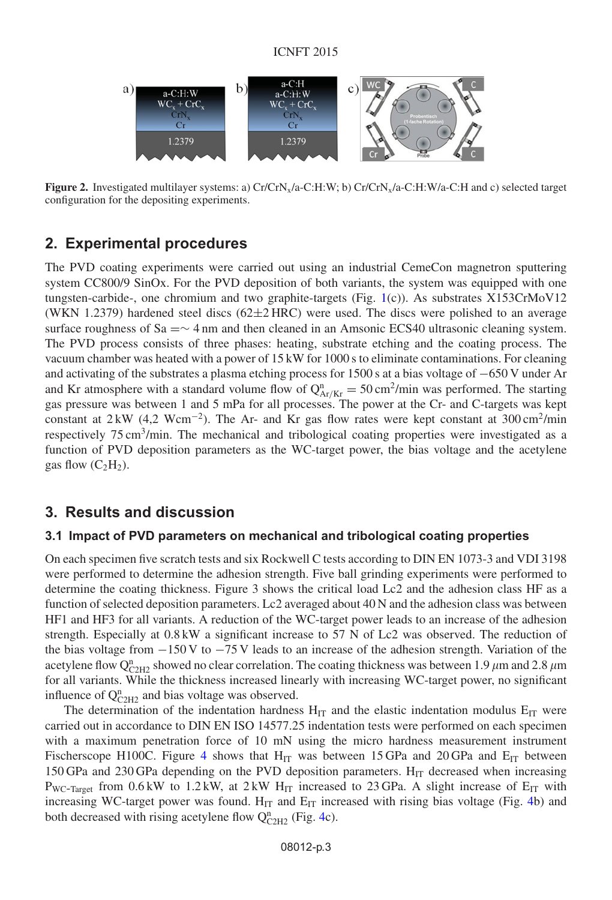

**Figure 2.** Investigated multilayer systems: a) Cr/CrN<sub>x</sub>/a-C:H:W; b) Cr/CrN<sub>x</sub>/a-C:H:W/a-C:H and c) selected target configuration for the depositing experiments.

## **2. Experimental procedures**

The PVD coating experiments were carried out using an industrial CemeCon magnetron sputtering system CC800/9 SinOx. For the PVD deposition of both variants, the system was equipped with one tungsten-carbide-, one chromium and two graphite-targets (Fig. [1\(](#page-1-0)c)). As substrates X153CrMoV12 (WKN 1.2379) hardened steel discs ( $62\pm2$  HRC) were used. The discs were polished to an average surface roughness of  $Sa = ∼ 4$  nm and then cleaned in an Amsonic ECS40 ultrasonic cleaning system. The PVD process consists of three phases: heating, substrate etching and the coating process. The vacuum chamber was heated with a power of 15 kW for 1000 s to eliminate contaminations. For cleaning and activating of the substrates a plasma etching process for 1500 s at a bias voltage of −650 V under Ar and Kr atmosphere with a standard volume flow of  $Q_{Ar/Kr}^{n} = 50 \text{ cm}^2/\text{min}$  was performed. The starting gas pressure was between 1 and 5 mPa for all processes. The power at the Cr- and C-targets was kept constant at  $2 \text{ kW}$  (4,2 Wcm<sup>-2</sup>). The Ar- and Kr gas flow rates were kept constant at 300 cm<sup>2</sup>/min respectively 75 cm<sup>3</sup>/min. The mechanical and tribological coating properties were investigated as a function of PVD deposition parameters as the WC-target power, the bias voltage and the acetylene gas flow  $(C_2H_2)$ .

## **3. Results and discussion**

#### **3.1 Impact of PVD parameters on mechanical and tribological coating properties**

On each specimen five scratch tests and six Rockwell C tests according to DIN EN 1073-3 and VDI 3198 were performed to determine the adhesion strength. Five ball grinding experiments were performed to determine the coating thickness. Figure 3 shows the critical load Lc2 and the adhesion class HF as a function of selected deposition parameters. Lc2 averaged about 40 N and the adhesion class was between HF1 and HF3 for all variants. A reduction of the WC-target power leads to an increase of the adhesion strength. Especially at 0.8 kW a significant increase to 57 N of Lc2 was observed. The reduction of the bias voltage from  $-150$  V to  $-75$  V leads to an increase of the adhesion strength. Variation of the acetylene flow  $Q_{C2H2}^n$  showed no clear correlation. The coating thickness was between 1.9  $\mu$ m and 2.8  $\mu$ m for all variants. While the thickness increased linearly with increasing WC-target power, no significant influence of  $Q_{C2H2}^n$  and bias voltage was observed.

The determination of the indentation hardness  $H_{IT}$  and the elastic indentation modulus  $E_{IT}$  were carried out in accordance to DIN EN ISO 14577.25 indentation tests were performed on each specimen with a maximum penetration force of 10 mN using the micro hardness measurement instrument Fischerscope H100C. Figure [4](#page-3-0) shows that  $H_{IT}$  was between 15 GPa and 20 GPa and  $E_{IT}$  between 150 GPa and 230 GPa depending on the PVD deposition parameters.  $H_{IT}$  decreased when increasing  $P_{\text{WC-Target}}$  from 0.6 kW to 1.2 kW, at 2 kW H<sub>IT</sub> increased to 23 GPa. A slight increase of E<sub>IT</sub> with increasing WC-target power was found.  $H_{IT}$  and  $E_{IT}$  increased with rising bias voltage (Fig. [4b](#page-3-0)) and both decreased with rising acetylene flow  $Q_{C2H2}^n$  (Fig. [4c](#page-3-0)).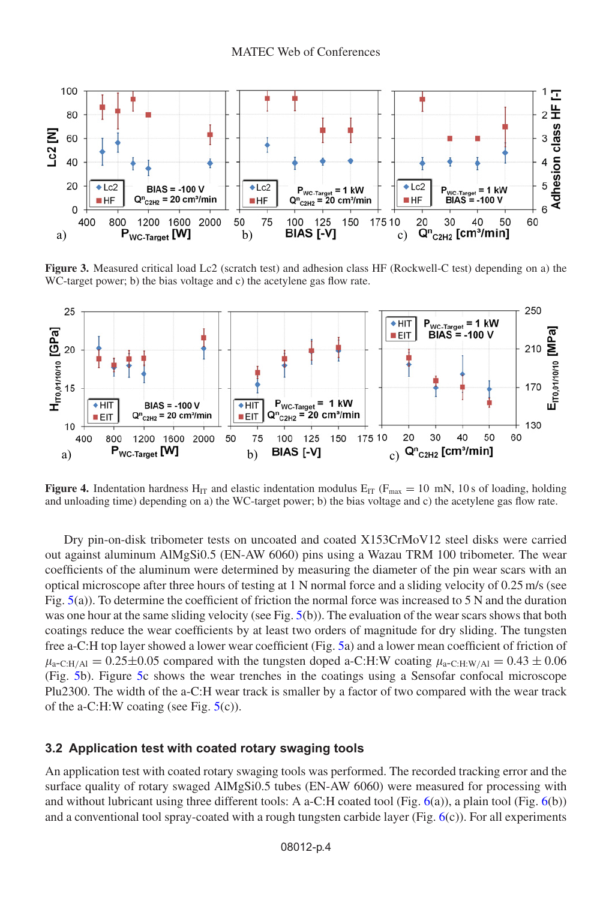

**Figure 3.** Measured critical load Lc2 (scratch test) and adhesion class HF (Rockwell-C test) depending on a) the WC-target power; b) the bias voltage and c) the acetylene gas flow rate.

<span id="page-3-0"></span>

**Figure 4.** Indentation hardness H<sub>IT</sub> and elastic indentation modulus E<sub>IT</sub> (F<sub>max</sub> = 10 mN, 10 s of loading, holding and unloading time) depending on a) the WC-target power; b) the bias voltage and c) the acetylene gas flow rate.

Dry pin-on-disk tribometer tests on uncoated and coated X153CrMoV12 steel disks were carried out against aluminum AlMgSi0.5 (EN-AW 6060) pins using a Wazau TRM 100 tribometer. The wear coefficients of the aluminum were determined by measuring the diameter of the pin wear scars with an optical microscope after three hours of testing at 1 N normal force and a sliding velocity of 0.25 m/s (see Fig.  $5(a)$  $5(a)$ ). To determine the coefficient of friction the normal force was increased to 5 N and the duration was one hour at the same sliding velocity (see Fig. [5\(](#page-4-0)b)). The evaluation of the wear scars shows that both coatings reduce the wear coefficients by at least two orders of magnitude for dry sliding. The tungsten free a-C:H top layer showed a lower wear coefficient (Fig. [5a](#page-4-0)) and a lower mean coefficient of friction of  $\mu_{\text{a-C:H/Al}} = 0.25 \pm 0.05$  compared with the tungsten doped a-C:H:W coating  $\mu_{\text{a-C:H:W/Al}} = 0.43 \pm 0.06$ (Fig. [5b](#page-4-0)). Figure [5c](#page-4-0) shows the wear trenches in the coatings using a Sensofar confocal microscope Plu2300. The width of the a-C:H wear track is smaller by a factor of two compared with the wear track of the a-C:H:W coating (see Fig.  $5(c)$  $5(c)$ ).

#### **3.2 Application test with coated rotary swaging tools**

An application test with coated rotary swaging tools was performed. The recorded tracking error and the surface quality of rotary swaged AlMgSi0.5 tubes (EN-AW 6060) were measured for processing with and without lubricant using three different tools: A a-C:H coated tool (Fig. [6\(](#page-4-1)a)), a plain tool (Fig. [6\(](#page-4-1)b)) and a conventional tool spray-coated with a rough tungsten carbide layer (Fig.  $6(c)$  $6(c)$ ). For all experiments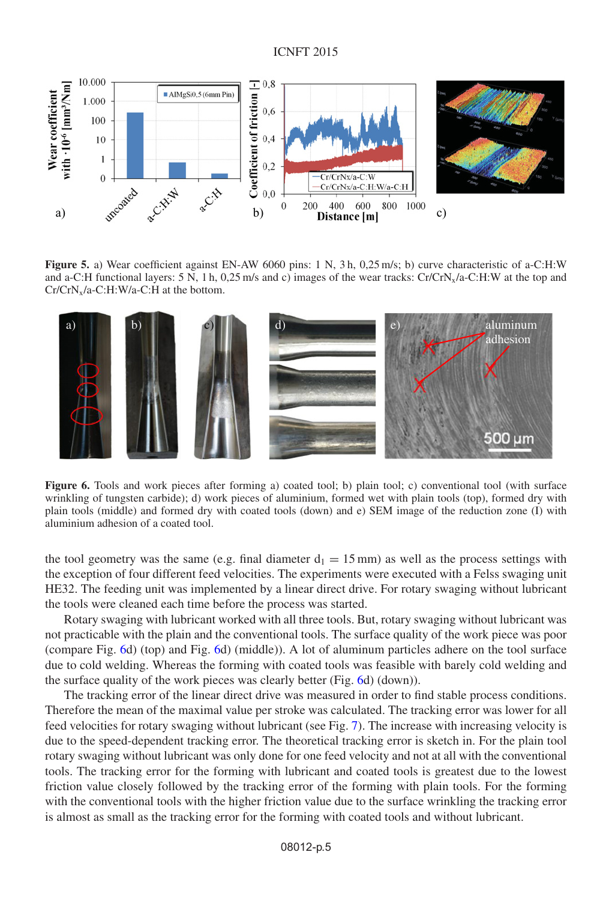<span id="page-4-0"></span>

**Figure 5.** a) Wear coefficient against EN-AW 6060 pins: 1 N, 3 h, 0,25 m/s; b) curve characteristic of a-C:H:W and a-C:H functional layers: 5 N, 1 h, 0,25 m/s and c) images of the wear tracks:  $Cr/CrN_x/a-C:H:W$  at the top and Cr/CrNx/a-C:H:W/a-C:H at the bottom.

<span id="page-4-1"></span>

**Figure 6.** Tools and work pieces after forming a) coated tool; b) plain tool; c) conventional tool (with surface wrinkling of tungsten carbide); d) work pieces of aluminium, formed wet with plain tools (top), formed dry with plain tools (middle) and formed dry with coated tools (down) and e) SEM image of the reduction zone (I) with aluminium adhesion of a coated tool.

the tool geometry was the same (e.g. final diameter  $d_1 = 15$  mm) as well as the process settings with the exception of four different feed velocities. The experiments were executed with a Felss swaging unit HE32. The feeding unit was implemented by a linear direct drive. For rotary swaging without lubricant the tools were cleaned each time before the process was started.

Rotary swaging with lubricant worked with all three tools. But, rotary swaging without lubricant was not practicable with the plain and the conventional tools. The surface quality of the work piece was poor (compare Fig. [6d](#page-4-1)) (top) and Fig. [6d](#page-4-1)) (middle)). A lot of aluminum particles adhere on the tool surface due to cold welding. Whereas the forming with coated tools was feasible with barely cold welding and the surface quality of the work pieces was clearly better (Fig. [6d](#page-4-1)) (down)).

The tracking error of the linear direct drive was measured in order to find stable process conditions. Therefore the mean of the maximal value per stroke was calculated. The tracking error was lower for all feed velocities for rotary swaging without lubricant (see Fig. [7\)](#page-5-0). The increase with increasing velocity is due to the speed-dependent tracking error. The theoretical tracking error is sketch in. For the plain tool rotary swaging without lubricant was only done for one feed velocity and not at all with the conventional tools. The tracking error for the forming with lubricant and coated tools is greatest due to the lowest friction value closely followed by the tracking error of the forming with plain tools. For the forming with the conventional tools with the higher friction value due to the surface wrinkling the tracking error is almost as small as the tracking error for the forming with coated tools and without lubricant.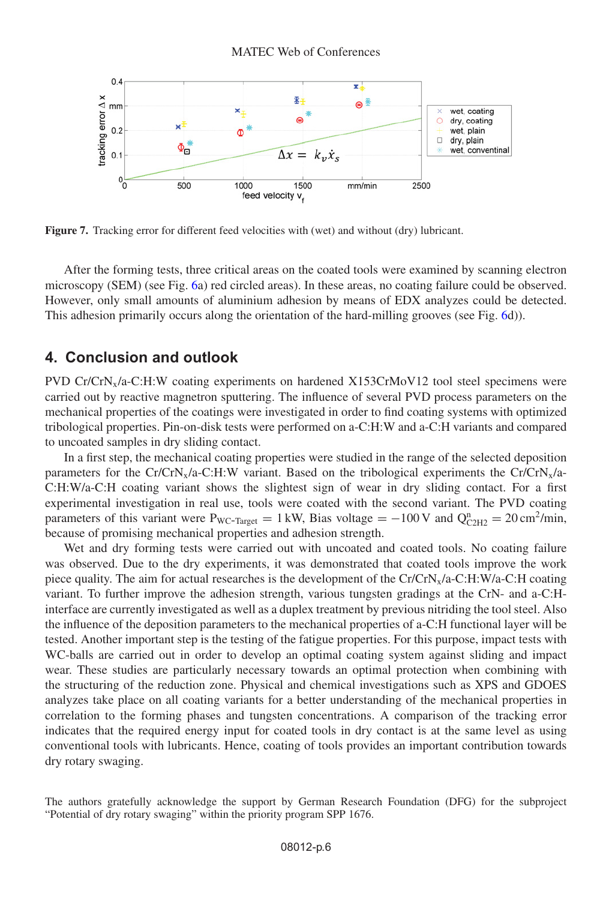<span id="page-5-0"></span>

**Figure 7.** Tracking error for different feed velocities with (wet) and without (dry) lubricant.

After the forming tests, three critical areas on the coated tools were examined by scanning electron microscopy (SEM) (see Fig. [6a](#page-4-1)) red circled areas). In these areas, no coating failure could be observed. However, only small amounts of aluminium adhesion by means of EDX analyzes could be detected. This adhesion primarily occurs along the orientation of the hard-milling grooves (see Fig. [6d](#page-4-1))).

## **4. Conclusion and outlook**

PVD  $Cr/CrN_x/a-C:H:W$  coating experiments on hardened X153CrMoV12 tool steel specimens were carried out by reactive magnetron sputtering. The influence of several PVD process parameters on the mechanical properties of the coatings were investigated in order to find coating systems with optimized tribological properties. Pin-on-disk tests were performed on a-C:H:W and a-C:H variants and compared to uncoated samples in dry sliding contact.

In a first step, the mechanical coating properties were studied in the range of the selected deposition parameters for the Cr/CrN<sub>x</sub>/a-C:H:W variant. Based on the tribological experiments the Cr/CrN<sub>x</sub>/a-C:H:W/a-C:H coating variant shows the slightest sign of wear in dry sliding contact. For a first experimental investigation in real use, tools were coated with the second variant. The PVD coating parameters of this variant were  $P_{WC-Target} = 1 \text{ kW}$ , Bias voltage =  $-100 \text{ V}$  and  $Q_{C2H2}^n = 20 \text{ cm}^2/\text{min}$ , because of promising mechanical properties and adhesion strength.

Wet and dry forming tests were carried out with uncoated and coated tools. No coating failure was observed. Due to the dry experiments, it was demonstrated that coated tools improve the work piece quality. The aim for actual researches is the development of the Cr/CrNx/a-C:H:W/a-C:H coating variant. To further improve the adhesion strength, various tungsten gradings at the CrN- and a-C:Hinterface are currently investigated as well as a duplex treatment by previous nitriding the tool steel. Also the influence of the deposition parameters to the mechanical properties of a-C:H functional layer will be tested. Another important step is the testing of the fatigue properties. For this purpose, impact tests with WC-balls are carried out in order to develop an optimal coating system against sliding and impact wear. These studies are particularly necessary towards an optimal protection when combining with the structuring of the reduction zone. Physical and chemical investigations such as XPS and GDOES analyzes take place on all coating variants for a better understanding of the mechanical properties in correlation to the forming phases and tungsten concentrations. A comparison of the tracking error indicates that the required energy input for coated tools in dry contact is at the same level as using conventional tools with lubricants. Hence, coating of tools provides an important contribution towards dry rotary swaging.

The authors gratefully acknowledge the support by German Research Foundation (DFG) for the subproject "Potential of dry rotary swaging" within the priority program SPP 1676.